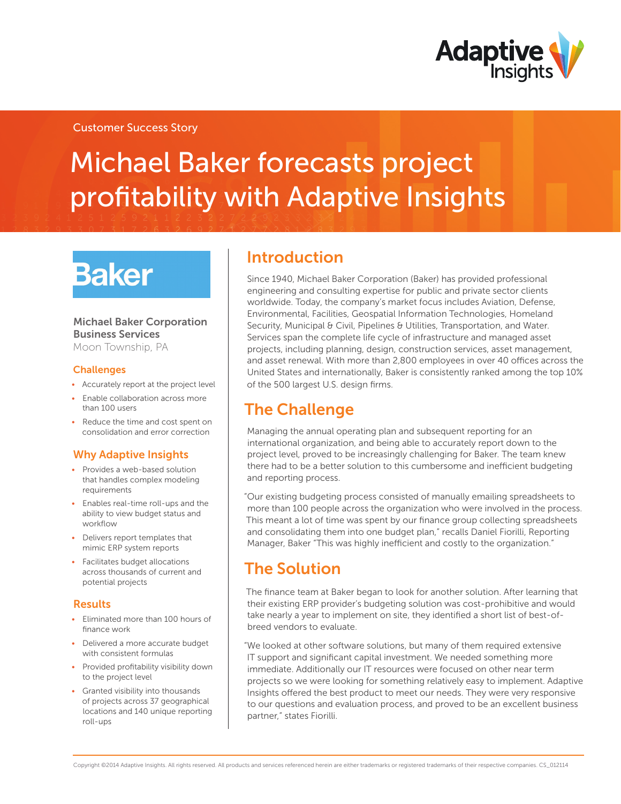

### Customer Success Story

# Michael Baker forecasts project profitability with Adaptive Insights

# **Baker**

#### Michael Baker Corporation Business Services Moon Township, PA

**Challenges** 

- • Accurately report at the project level
- Enable collaboration across more than 100 users
- Reduce the time and cost spent on consolidation and error correction

### Why Adaptive Insights

- Provides a web-based solution that handles complex modeling requirements
- • Enables real-time roll-ups and the ability to view budget status and workflow
- Delivers report templates that mimic ERP system reports
- Facilitates budget allocations across thousands of current and potential projects

#### Results

- Eliminated more than 100 hours of finance work
- Delivered a more accurate budget with consistent formulas
- Provided profitability visibility down to the project level
- • Granted visibility into thousands of projects across 37 geographical locations and 140 unique reporting roll-ups

## Introduction

Since 1940, Michael Baker Corporation (Baker) has provided professional engineering and consulting expertise for public and private sector clients worldwide. Today, the company's market focus includes Aviation, Defense, Environmental, Facilities, Geospatial Information Technologies, Homeland Security, Municipal & Civil, Pipelines & Utilities, Transportation, and Water. Services span the complete life cycle of infrastructure and managed asset projects, including planning, design, construction services, asset management, and asset renewal. With more than 2,800 employees in over 40 offices across the United States and internationally, Baker is consistently ranked among the top 10% of the 500 largest U.S. design firms.

## The Challenge

Managing the annual operating plan and subsequent reporting for an international organization, and being able to accurately report down to the project level, proved to be increasingly challenging for Baker. The team knew there had to be a better solution to this cumbersome and inefficient budgeting and reporting process.

"Our existing budgeting process consisted of manually emailing spreadsheets to more than 100 people across the organization who were involved in the process. This meant a lot of time was spent by our finance group collecting spreadsheets and consolidating them into one budget plan," recalls Daniel Fiorilli, Reporting Manager, Baker "This was highly inefficient and costly to the organization."

## The Solution

The finance team at Baker began to look for another solution. After learning that their existing ERP provider's budgeting solution was cost-prohibitive and would take nearly a year to implement on site, they identified a short list of best-ofbreed vendors to evaluate.

"We looked at other software solutions, but many of them required extensive IT support and significant capital investment. We needed something more immediate. Additionally our IT resources were focused on other near term projects so we were looking for something relatively easy to implement. Adaptive Insights offered the best product to meet our needs. They were very responsive to our questions and evaluation process, and proved to be an excellent business partner," states Fiorilli.